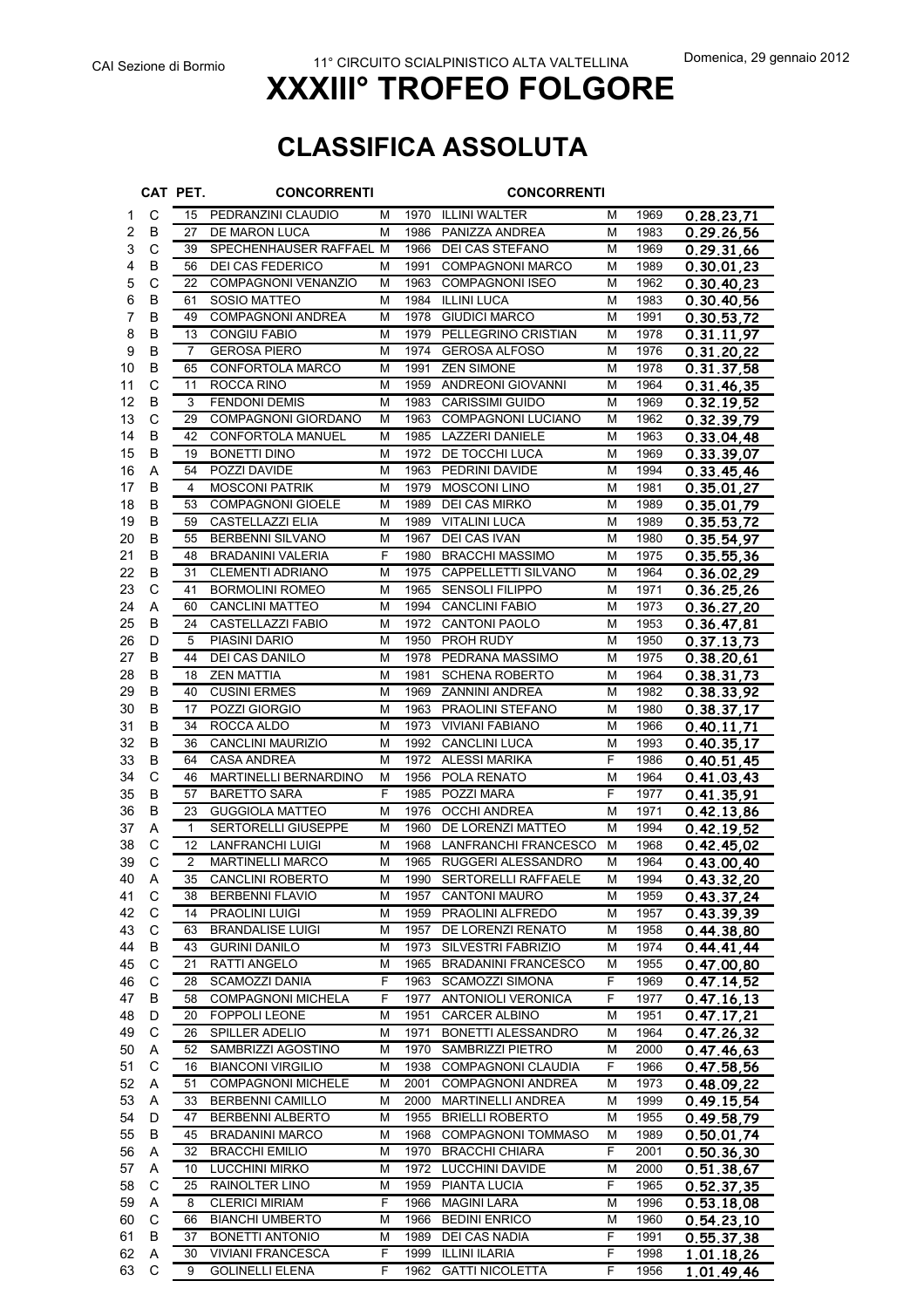## **CLASSIFICA ASSOLUTA**

|          |              | CAT PET.       | <b>CONCORRENTI</b>                                   |        |              | <b>CONCORRENTI</b>                     |        |              |                          |
|----------|--------------|----------------|------------------------------------------------------|--------|--------------|----------------------------------------|--------|--------------|--------------------------|
| 1        | С            | 15             | PEDRANZINI CLAUDIO                                   | м      |              | 1970 ILLINI WALTER                     | М      | 1969         | 0.28.23,71               |
| 2        | B            | 27             | DE MARON LUCA                                        | м      | 1986         | PANIZZA ANDREA                         | М      | 1983         | 0.29.26.56               |
| 3        | $\mathsf{C}$ | 39             | SPECHENHAUSER RAFFAEL M                              |        |              | 1966 DEI CAS STEFANO                   | м      | 1969         | 0.29.31,66               |
| 4        | B            | 56             | DEI CAS FEDERICO                                     | М      | 1991         | <b>COMPAGNONI MARCO</b>                | М      | 1989         | 0.30.01,23               |
| 5        | C            | 22             | <b>COMPAGNONI VENANZIO</b>                           | M      | 1963         | <b>COMPAGNONI ISEO</b>                 | M      | 1962         | 0.30.40.23               |
| 6        | B            | 61             | <b>SOSIO MATTEO</b>                                  | M      | 1984         | <b>ILLINI LUCA</b>                     | М      | 1983         | 0.30.40,56               |
| 7        | B            | 49             | <b>COMPAGNONI ANDREA</b>                             | M      | 1978         | <b>GIUDICI MARCO</b>                   | М      | 1991         | 0.30.53,72               |
| 8        | B            | 13             | <b>CONGIU FABIO</b>                                  | М      | 1979         | PELLEGRINO CRISTIAN                    | м      | 1978         | 0.31.11,97               |
| 9        | B<br>B       | $\overline{7}$ | <b>GEROSA PIERO</b><br><b>CONFORTOLA MARCO</b>       | M<br>M | 1974<br>1991 | <b>GEROSA ALFOSO</b>                   | м<br>М | 1976         | 0.31.20,22               |
| 10<br>11 | C            | 65<br>11       | ROCCA RINO                                           | М      | 1959         | <b>ZEN SIMONE</b><br>ANDREONI GIOVANNI | М      | 1978<br>1964 | 0.31.37,58<br>0.31.46,35 |
| 12       | B            | 3              | <b>FENDONI DEMIS</b>                                 | M      | 1983         | <b>CARISSIMI GUIDO</b>                 | М      | 1969         | 0.32.19,52               |
| 13       | C            | 29             | <b>COMPAGNONI GIORDANO</b>                           | M      | 1963         | <b>COMPAGNONI LUCIANO</b>              | М      | 1962         | 0.32.39,79               |
| 14       | B            | 42             | CONFORTOLA MANUEL                                    | M      | 1985         | LAZZERI DANIELE                        | М      | 1963         | 0.33.04,48               |
| 15       | B            | 19             | <b>BONETTI DINO</b>                                  | M      | 1972         | DE TOCCHI LUCA                         | М      | 1969         | <u>0.33.39,07</u>        |
| 16       | A            | 54             | POZZI DAVIDE                                         | M      | 1963         | PEDRINI DAVIDE                         | M      | 1994         | 0.33.45.46               |
| 17       | B            | 4              | <b>MOSCONI PATRIK</b>                                | M      | 1979         | <b>MOSCONI LINO</b>                    | M      | 1981         | 0.35.01,27               |
| 18       | В            | 53             | <b>COMPAGNONI GIOELE</b>                             | М      | 1989         | <b>DEI CAS MIRKO</b>                   | М      | 1989         | 0.35.01,79               |
| 19       | B            | 59             | <b>CASTELLAZZI ELIA</b>                              | M      | 1989         | <b>VITALINI LUCA</b>                   | М      | 1989         | 0.35.53,72               |
| 20       | B            | 55             | <b>BERBENNI SILVANO</b>                              | М      | 1967         | DEI CAS IVAN                           | м      | 1980         | 0.35.54,97               |
| 21       | B            | 48             | <b>BRADANINI VALERIA</b>                             | F      | 1980         | <b>BRACCHI MASSIMO</b>                 | М      | 1975         | 0.35.55,36               |
| 22       | B            | 31             | <b>CLEMENTI ADRIANO</b>                              | M      | 1975         | CAPPELLETTI SILVANO                    | М      | 1964         | 0.36.02,29               |
| 23       | C            | 41             | <b>BORMOLINI ROMEO</b>                               | M      | 1965         | <b>SENSOLI FILIPPO</b>                 | м      | 1971         | 0.36.25,26               |
| 24       | Α            | 60             | <b>CANCLINI MATTEO</b>                               | М      | 1994         | <b>CANCLINI FABIO</b>                  | М      | 1973         | 0.36.27,20               |
| 25       | B            | 24             | CASTELLAZZI FABIO                                    | M      | 1972         | <b>CANTONI PAOLO</b>                   | М      | 1953         | 0.36.47,81               |
| 26       | D            | 5              | PIASINI DARIO                                        | M      | 1950         | <b>PROH RUDY</b>                       | M      | 1950         | 0.37.13,73               |
| 27       | B            | 44             | DEI CAS DANILO                                       | M      | 1978         | PEDRANA MASSIMO                        | М      | 1975         | 0.38.20,61               |
| 28       | B            | 18             | <b>ZEN MATTIA</b>                                    | M      | 1981         | <b>SCHENA ROBERTO</b>                  | М      | 1964         | 0.38.31,73               |
| 29       | B            | 40             | <b>CUSINI ERMES</b>                                  | M      | 1969         | ZANNINI ANDREA                         | M      | 1982         | 0.38.33,92               |
| 30       | В            | 17             | POZZI GIORGIO                                        | M      | 1963         | PRAOLINI STEFANO                       | М      | 1980         | 0.38.37,17               |
| 31       | B            | 34             | ROCCA ALDO                                           | M      | 1973         | <b>VIVIANI FABIANO</b>                 | м      | 1966         | 0.40.11,71               |
| 32       | B            | 36             | CANCLINI MAURIZIO                                    | M      | 1992         | CANCLINI LUCA                          | М      | 1993         | 0.40.35,17               |
| 33       | B            | 64             | <b>CASA ANDREA</b>                                   | M      | 1972         | <b>ALESSI MARIKA</b>                   | F      | 1986         | 0.40.51,45               |
| 34       | C            | 46             | <b>MARTINELLI BERNARDINO</b>                         | M<br>F | 1956         | POLA RENATO                            | M      | 1964         | 0.41.03,43               |
| 35       | B            | 57<br>23       | <b>BARETTO SARA</b>                                  | М      | 1985<br>1976 | POZZI MARA<br><b>OCCHI ANDREA</b>      | F<br>М | 1977<br>1971 | 0.41.35,91               |
| 36<br>37 | В<br>Α       | $\mathbf{1}$   | <b>GUGGIOLA MATTEO</b><br><b>SERTORELLI GIUSEPPE</b> | м      |              | 1960 DE LORENZI MATTEO                 | м      | 1994         | 0.42.13,86               |
| 38       | C            | 12             | LANFRANCHI LUIGI                                     | М      | 1968         | LANFRANCHI FRANCESCO                   | м      | 1968         | 0.42.19,52<br>0.42.45,02 |
| 39       | C            | $\overline{2}$ | <b>MARTINELLI MARCO</b>                              | M      |              | 1965 RUGGERI ALESSANDRO                | M      | 1964         | 0.43.00.40               |
| 40       | Α            | 35             | CANCLINI ROBERTO                                     | M      |              | 1990 SERTORELLI RAFFAELE               | M      | 1994         | 0.43.32,20               |
| 41       | С            | 38             | <b>BERBENNI FLAVIO</b>                               | м      | 1957         | <b>CANTONI MAURO</b>                   | м      | 1959         | 0.43.37.24               |
| 42       | С            | 14             | <b>PRAOLINI LUIGI</b>                                | М      | 1959         | PRAOLINI ALFREDO                       | М      | 1957         | 0.43.39.39               |
| 43       | $\mathsf C$  | 63             | <b>BRANDALISE LUIGI</b>                              | M      | 1957         | DE LORENZI RENATO                      | М      | 1958         | 0.44.38,80               |
| 44       | B            | 43             | <b>GURINI DANILO</b>                                 | M      | 1973         | SILVESTRI FABRIZIO                     | М      | 1974         | 0.44.41,44               |
| 45       | C            | 21             | RATTI ANGELO                                         | M      | 1965         | <b>BRADANINI FRANCESCO</b>             | М      | 1955         | 0.47.00,80               |
| 46       | C            | 28             | SCAMOZZI DANIA                                       | F      | 1963         | <b>SCAMOZZI SIMONA</b>                 | F      | 1969         | 0.47.14,52               |
| 47       | В            | 58             | <b>COMPAGNONI MICHELA</b>                            | F      | 1977         | <b>ANTONIOLI VERONICA</b>              | F      | 1977         | 0.47.16,13               |
| 48       | D            | 20             | <b>FOPPOLI LEONE</b>                                 | М      | 1951         | <b>CARCER ALBINO</b>                   | м      | 1951         | 0.47.17,21               |
| 49       | С            | 26             | <b>SPILLER ADELIO</b>                                | M      | 1971         | BONETTI ALESSANDRO                     | М      | 1964         | 0.47.26,32               |
| 50       | Α            | 52             | SAMBRIZZI AGOSTINO                                   | М      | 1970         | <b>SAMBRIZZI PIETRO</b>                | М      | 2000         | 0.47.46,63               |
| 51       | C            | 16             | <b>BIANCONI VIRGILIO</b>                             | М      | 1938         | COMPAGNONI CLAUDIA                     | F      | 1966         | 0.47.58.56               |
| 52       | Α            | 51             | <b>COMPAGNONI MICHELE</b>                            | М      | 2001         | <b>COMPAGNONI ANDREA</b>               | м      | 1973         | 0.48.09,22               |
| 53       | A            | 33             | <b>BERBENNI CAMILLO</b>                              | М      | 2000         | <b>MARTINELLI ANDREA</b>               | М      | 1999         | 0.49.15,54               |
| 54       | D            | 47             | <b>BERBENNI ALBERTO</b>                              | M      | 1955         | <b>BRIELLI ROBERTO</b>                 | м      | 1955         | 0.49.58,79               |
| 55       | B            | 45             | <b>BRADANINI MARCO</b>                               | M      | 1968         | <b>COMPAGNONI TOMMASO</b>              | м      | 1989         | 0.50.01,74               |
| 56       | Α            | 32             | <b>BRACCHI EMILIO</b>                                | М      |              | 1970 BRACCHI CHIARA                    | F      | 2001         | 0.50.36,30               |
| 57       | Α            | 10             | <b>LUCCHINI MIRKO</b>                                | M      |              | 1972 LUCCHINI DAVIDE                   | м      | 2000         | 0.51.38,67               |
| 58       | C            | 25             | RAINOLTER LINO                                       | М      | 1959         | PIANTA LUCIA                           | F.     | 1965         | 0.52.37,35               |
| 59       | Α            | 8              | <b>CLERICI MIRIAM</b>                                | F      | 1966         | <b>MAGINI LARA</b>                     | М      | 1996         | 0.53.18,08               |
| 60<br>61 | С<br>B       | 66<br>37       | <b>BIANCHI UMBERTO</b><br>BONETTI ANTONIO            | M<br>м | 1966<br>1989 | <b>BEDINI ENRICO</b><br>DEI CAS NADIA  | М<br>F | 1960<br>1991 | 0.54.23,10               |
| 62       | Α            | 30             | <b>VIVIANI FRANCESCA</b>                             | F      | 1999         | ILLINI ILARIA                          | F      | 1998         | 0.55.37,38<br>1.01.18,26 |
| 63       | C            | 9              | <b>GOLINELLI ELENA</b>                               | F      | 1962         | <b>GATTI NICOLETTA</b>                 | F.     | 1956         | 1.01.49,46               |
|          |              |                |                                                      |        |              |                                        |        |              |                          |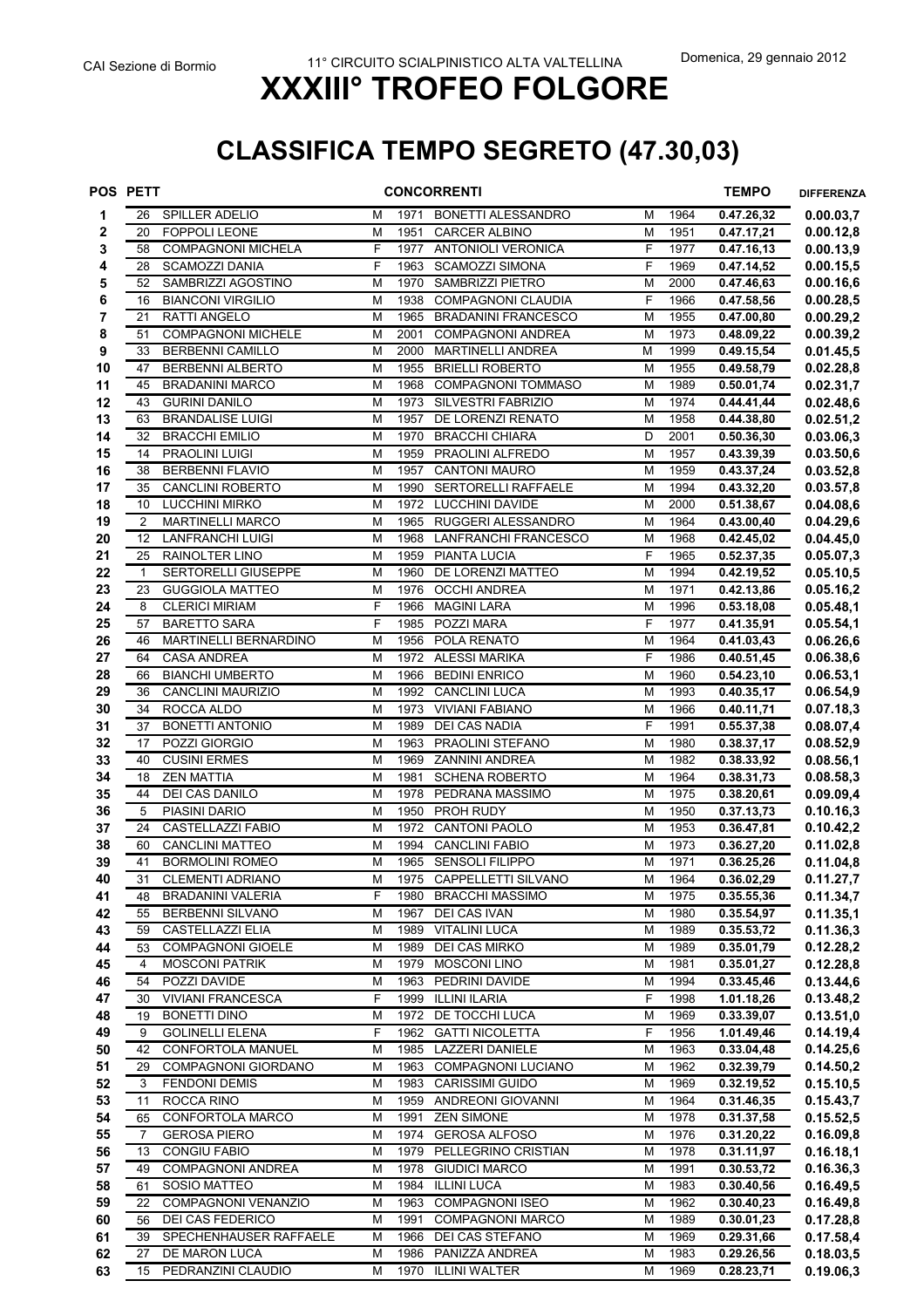## **CLASSIFICA TEMPO SEGRETO (47.30,03)**

|          | <b>POS PETT</b>      |                                                  |                |              | <b>CONCORRENTI</b>                               |                |              | <b>TEMPO</b>             | <b>DIFFERENZA</b>      |
|----------|----------------------|--------------------------------------------------|----------------|--------------|--------------------------------------------------|----------------|--------------|--------------------------|------------------------|
| 1        | 26                   | <b>SPILLER ADELIO</b>                            | M              | 1971         | BONETTI ALESSANDRO                               | M              | 1964         | 0.47.26,32               | 0.00.03,7              |
| 2        | 20                   | <b>FOPPOLI LEONE</b>                             | M              | 1951         | <b>CARCER ALBINO</b>                             | M              | 1951         | 0.47.17,21               | 0.00.12,8              |
| 3        | 58                   | <b>COMPAGNONI MICHELA</b>                        | F              | 1977         | <b>ANTONIOLI VERONICA</b>                        | F              | 1977         | 0.47.16,13               | 0.00.13,9              |
| 4        | 28                   | <b>SCAMOZZI DANIA</b>                            | F              | 1963         | <b>SCAMOZZI SIMONA</b>                           | F              | 1969         | 0.47.14,52               | 0.00.15,5              |
| 5        | 52                   | SAMBRIZZI AGOSTINO                               | M              | 1970         | SAMBRIZZI PIETRO                                 | M              | 2000         | 0.47.46,63               | 0.00.16,6              |
| 6        | 16                   | <b>BIANCONI VIRGILIO</b>                         | M              | 1938         | COMPAGNONI CLAUDIA                               | F              | 1966         | 0.47.58,56               | 0.00.28,5              |
| 7        | 21                   | <b>RATTI ANGELO</b>                              | M              | 1965         | <b>BRADANINI FRANCESCO</b>                       | M              | 1955         | 0.47.00,80               | 0.00.29,2              |
| 8        | 51                   | <b>COMPAGNONI MICHELE</b>                        | M              | 2001         | <b>COMPAGNONI ANDREA</b>                         | M              | 1973         | 0.48.09,22               | 0.00.39,2              |
| 9        | 33                   | <b>BERBENNI CAMILLO</b>                          | M              | 2000         | <b>MARTINELLI ANDREA</b>                         | M              | 1999         | 0.49.15,54               | 0.01.45,5              |
| 10       | 47                   | <b>BERBENNI ALBERTO</b>                          | M              | 1955         | <b>BRIELLI ROBERTO</b>                           | M              | 1955         | 0.49.58,79               | 0.02.28,8              |
| 11       | 45                   | <b>BRADANINI MARCO</b>                           | M              | 1968         | <b>COMPAGNONI TOMMASO</b>                        | M              | 1989         | 0.50.01,74               | 0.02.31,7              |
| 12       | 43                   | <b>GURINI DANILO</b>                             | M              | 1973         | SILVESTRI FABRIZIO                               | M              | 1974         | 0.44.41,44               | 0.02.48,6              |
| 13       | 63                   | <b>BRANDALISE LUIGI</b>                          | M              | 1957         | DE LORENZI RENATO                                | M              | 1958         | 0.44.38,80               | 0.02.51,2              |
| 14       | 32                   | <b>BRACCHI EMILIO</b>                            | M              | 1970         | <b>BRACCHI CHIARA</b>                            | D              | 2001         | 0.50.36,30               | 0.03.06,3              |
| 15       | 14                   | <b>PRAOLINI LUIGI</b>                            | M              | 1959         | PRAOLINI ALFREDO                                 | M              | 1957         | 0.43.39,39               | 0.03.50,6              |
| 16       | 38                   | <b>BERBENNI FLAVIO</b>                           | M              | 1957         | <b>CANTONI MAURO</b>                             | M              | 1959         | 0.43.37,24               | 0.03.52,8              |
| 17       | 35                   | <b>CANCLINI ROBERTO</b>                          | M              | 1990         | <b>SERTORELLI RAFFAELE</b>                       | M              | 1994         | 0.43.32,20               | 0.03.57,8              |
| 18       | 10                   | <b>LUCCHINI MIRKO</b><br><b>MARTINELLI MARCO</b> | M<br>M         | 1972<br>1965 | <b>LUCCHINI DAVIDE</b><br>RUGGERI ALESSANDRO     | M<br>M         | 2000<br>1964 | 0.51.38,67               | 0.04.08, 6             |
| 19<br>20 | $\overline{2}$<br>12 | <b>LANFRANCHI LUIGI</b>                          | M              |              | LANFRANCHI FRANCESCO                             |                |              | 0.43.00,40               | 0.04.29,6              |
| 21       | 25                   | RAINOLTER LINO                                   | M              | 1968<br>1959 | PIANTA LUCIA                                     | M<br>F         | 1968<br>1965 | 0.42.45,02<br>0.52.37,35 | 0.04.45,0<br>0.05.07,3 |
| 22       | $\mathbf{1}$         | SERTORELLI GIUSEPPE                              | M              | 1960         | DE LORENZI MATTEO                                | M              | 1994         | 0.42.19,52               | 0.05.10,5              |
| 23       | 23                   | <b>GUGGIOLA MATTEO</b>                           | M              | 1976         | <b>OCCHI ANDREA</b>                              | M              | 1971         | 0.42.13,86               | 0.05.16,2              |
| 24       | 8                    | <b>CLERICI MIRIAM</b>                            | F              | 1966         | <b>MAGINI LARA</b>                               | M              | 1996         | 0.53.18,08               | 0.05.48,1              |
| 25       | 57                   | <b>BARETTO SARA</b>                              | F              | 1985         | POZZI MARA                                       | F              | 1977         | 0.41.35,91               | 0.05.54,1              |
| 26       | 46                   | MARTINELLI BERNARDINO                            | M              | 1956         | POLA RENATO                                      | M              | 1964         | 0.41.03,43               | 0.06.26, 6             |
| 27       | 64                   | <b>CASA ANDREA</b>                               | M              | 1972         | <b>ALESSI MARIKA</b>                             | F              | 1986         | 0.40.51,45               | 0.06.38,6              |
| 28       | 66                   | <b>BIANCHI UMBERTO</b>                           | M              | 1966         | <b>BEDINI ENRICO</b>                             | M              | 1960         | 0.54.23,10               | 0.06.53,1              |
| 29       | 36                   | CANCLINI MAURIZIO                                | M              | 1992         | <b>CANCLINI LUCA</b>                             | M              | 1993         | 0.40.35,17               | 0.06.54,9              |
| 30       | 34                   | ROCCA ALDO                                       | M              | 1973         | <b>VIVIANI FABIANO</b>                           | M              | 1966         | 0.40.11,71               | 0.07.18,3              |
| 31       | 37                   | <b>BONETTI ANTONIO</b>                           | M              | 1989         | <b>DEI CAS NADIA</b>                             | F              | 1991         | 0.55.37,38               | 0.08.07,4              |
| 32       | 17                   | POZZI GIORGIO                                    | M              | 1963         | PRAOLINI STEFANO                                 | M              | 1980         | 0.38.37,17               | 0.08.52,9              |
| 33       | 40                   | <b>CUSINI ERMES</b>                              | M              | 1969         | <b>ZANNINI ANDREA</b>                            | M              | 1982         | 0.38.33,92               | 0.08.56,1              |
| 34       | 18                   | <b>ZEN MATTIA</b>                                | M              | 1981         | <b>SCHENA ROBERTO</b>                            | M              | 1964         | 0.38.31,73               | 0.08.58,3              |
| 35       | 44                   | DEI CAS DANILO                                   | M              | 1978         | PEDRANA MASSIMO                                  | M              | 1975         | 0.38.20,61               | 0.09.09,4              |
| 36       | 5                    | PIASINI DARIO                                    | M              | 1950         | PROH RUDY                                        | M              | 1950         | 0.37.13,73               | 0.10.16,3              |
| 37       | 24                   | <b>CASTELLAZZI FABIO</b>                         | M              | 1972         | <b>CANTONI PAOLO</b>                             | M              | 1953         | 0.36.47,81               | 0.10.42,2              |
| 38       | 60                   | <b>CANCLINI MATTEO</b>                           | M              | 1994         | <b>CANCLINI FABIO</b>                            | М              | 1973         | 0.36.27,20               | 0.11.02,8              |
| 39       | 41                   | <b>BORMOLINI ROMEO</b>                           | M              | 1965         | <b>SENSOLI FILIPPO</b>                           | M              | 1971         | 0.36.25,26               | 0.11.04,8              |
| 40       | $\overline{31}$      | <b>CLEMENTI ADRIANO</b>                          | $\overline{M}$ |              | 1975 CAPPELLETTI SILVANO                         | $\overline{M}$ | 1964         | 0.36.02,29               | 0.11.27,7              |
| 41       | 48                   | BRADANINI VALERIA                                | F              | 1980         | <b>BRACCHI MASSIMO</b>                           | M              | 1975         | 0.35.55,36               | 0.11.34,7              |
| 42       | 55                   | BERBENNI SILVANO                                 | M              | 1967         | DEI CAS IVAN                                     | M              | 1980         | 0.35.54,97               | 0.11.35,1              |
| 43       | 59                   | CASTELLAZZI ELIA                                 | M              | 1989         | <b>VITALINI LUCA</b>                             | М              | 1989         | 0.35.53,72               | 0.11.36,3              |
| 44       | 53                   | <b>COMPAGNONI GIOELE</b>                         | M              |              | 1989 DEI CAS MIRKO                               | М              | 1989         | 0.35.01,79               | 0.12.28,2              |
| 45       | 4                    | <b>MOSCONI PATRIK</b>                            | M              | 1979         | <b>MOSCONI LINO</b>                              | M              | 1981         | 0.35.01,27               | 0.12.28,8              |
| 46       | 54                   | POZZI DAVIDE                                     | M              | 1963         | PEDRINI DAVIDE                                   | M              | 1994         | 0.33.45,46               | 0.13.44,6              |
| 47       | 30                   | <b>VIVIANI FRANCESCA</b>                         | F              | 1999         | <b>ILLINI ILARIA</b>                             | F              | 1998         | 1.01.18,26               | 0.13.48,2              |
| 48       | 19                   | <b>BONETTI DINO</b><br><b>GOLINELLI ELENA</b>    | M              | 1972         | DE TOCCHI LUCA                                   | M              | 1969         | 0.33.39,07               | 0.13.51,0              |
| 49       | 9<br>42              | CONFORTOLA MANUEL                                | F<br>M         | 1962<br>1985 | <b>GATTI NICOLETTA</b><br><b>LAZZERI DANIELE</b> | F              | 1956         | 1.01.49,46<br>0.33.04,48 | 0.14.19,4<br>0.14.25,6 |
| 50<br>51 | 29                   | <b>COMPAGNONI GIORDANO</b>                       | M              | 1963         | <b>COMPAGNONI LUCIANO</b>                        | M<br>M         | 1963<br>1962 | 0.32.39,79               | 0.14.50,2              |
| 52       | 3                    | <b>FENDONI DEMIS</b>                             | M              | 1983         | <b>CARISSIMI GUIDO</b>                           | M              | 1969         | 0.32.19,52               | 0.15.10,5              |
| 53       | 11                   | ROCCA RINO                                       | M              |              | 1959 ANDREONI GIOVANNI                           | M              | 1964         | 0.31.46,35               | 0.15.43,7              |
| 54       | 65                   | CONFORTOLA MARCO                                 | M              | 1991         | <b>ZEN SIMONE</b>                                | M              | 1978         | 0.31.37,58               | 0.15.52,5              |
| 55       | 7                    | <b>GEROSA PIERO</b>                              | M              | 1974         | <b>GEROSA ALFOSO</b>                             | М              | 1976         | 0.31.20,22               | 0.16.09,8              |
| 56       | 13                   | <b>CONGIU FABIO</b>                              | M              |              | 1979 PELLEGRINO CRISTIAN                         | M              | 1978         | 0.31.11,97               | 0.16.18,1              |
| 57       | 49                   | <b>COMPAGNONI ANDREA</b>                         | M              | 1978         | <b>GIUDICI MARCO</b>                             | M              | 1991         | 0.30.53,72               | 0.16.36,3              |
| 58       | 61                   | SOSIO MATTEO                                     | M              | 1984         | <b>ILLINI LUCA</b>                               | M              | 1983         | 0.30.40,56               | 0.16.49,5              |
| 59       | 22                   | <b>COMPAGNONI VENANZIO</b>                       | M              | 1963         | <b>COMPAGNONI ISEO</b>                           | M              | 1962         | 0.30.40,23               | 0.16.49,8              |
| 60       | 56                   | DEI CAS FEDERICO                                 | M              | 1991         | <b>COMPAGNONI MARCO</b>                          | M              | 1989         | 0.30.01,23               | 0.17.28,8              |
| 61       | 39                   | SPECHENHAUSER RAFFAELE                           | M              | 1966         | DEI CAS STEFANO                                  | М              | 1969         | 0.29.31,66               | 0.17.58,4              |
| 62       | 27                   | DE MARON LUCA                                    | M              |              | 1986 PANIZZA ANDREA                              | М              | 1983         | 0.29.26,56               | 0.18.03,5              |
| 63       | 15                   | PEDRANZINI CLAUDIO                               | М              |              | 1970 ILLINI WALTER                               | М              | 1969         | 0.28.23,71               | 0.19.06,3              |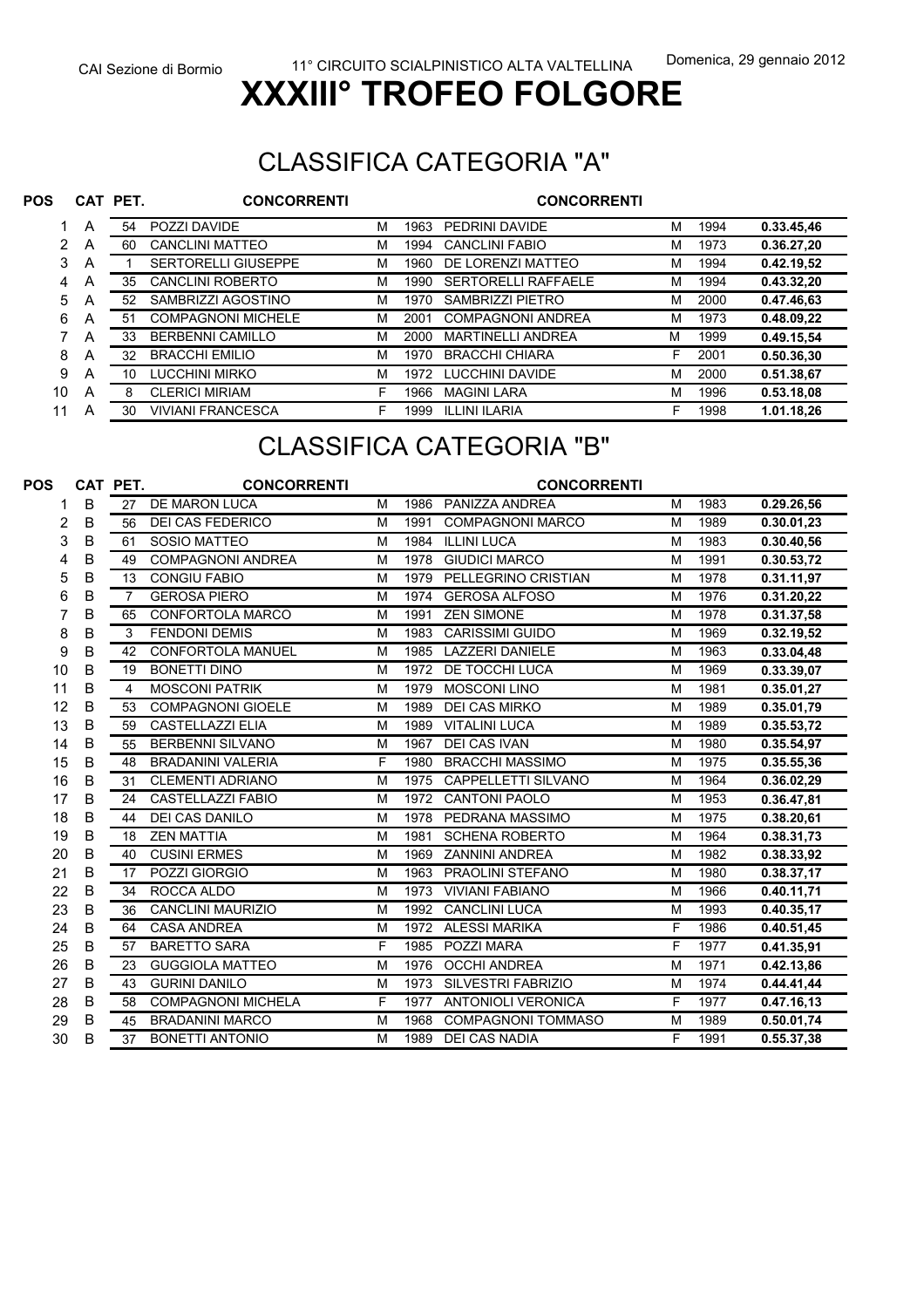#### CLASSIFICA CATEGORIA "A"

| <b>POS</b> |   | CAT PET. | <b>CONCORRENTI</b>         |   |      | <b>CONCORRENTI</b>         |   |      |            |
|------------|---|----------|----------------------------|---|------|----------------------------|---|------|------------|
|            | Α | 54       | POZZI DAVIDE               | M | 1963 | PEDRINI DAVIDE             | м | 1994 | 0.33.45,46 |
| 2          | A | 60       | CANCLINI MATTEO            | М | 1994 | <b>CANCLINI FABIO</b>      | М | 1973 | 0.36.27,20 |
| 3          | A |          | <b>SERTORELLI GIUSEPPE</b> | М | 1960 | DE LORENZI MATTEO          | м | 1994 | 0.42.19,52 |
| 4          | Α | 35       | <b>CANCLINI ROBERTO</b>    | M | 1990 | <b>SERTORELLI RAFFAELE</b> | М | 1994 | 0.43.32,20 |
| 5          | A | 52       | SAMBRIZZI AGOSTINO         | М | 1970 | SAMBRIZZI PIETRO           | м | 2000 | 0.47.46,63 |
| 6          | A | 51       | <b>COMPAGNONI MICHELE</b>  | М | 2001 | <b>COMPAGNONI ANDREA</b>   | м | 1973 | 0.48.09,22 |
|            | Α | 33       | <b>BERBENNI CAMILLO</b>    | М | 2000 | <b>MARTINELLI ANDREA</b>   | М | 1999 | 0.49.15,54 |
| 8          | A | 32       | <b>BRACCHI EMILIO</b>      | М | 1970 | <b>BRACCHI CHIARA</b>      | F | 2001 | 0.50.36,30 |
| 9          | A | 10       | LUCCHINI MIRKO             | М | 1972 | LUCCHINI DAVIDE            | м | 2000 | 0.51.38,67 |
| 10         | Α | 8        | <b>CLERICI MIRIAM</b>      | F | 1966 | <b>MAGINI LARA</b>         | м | 1996 | 0.53.18,08 |
| 11         | A | 30       | <b>VIVIANI FRANCESCA</b>   | F | 1999 | ILLINI ILARIA              | F | 1998 | 1.01.18,26 |

### CLASSIFICA CATEGORIA "B"

| POS |   | CAT PET.       | <b>CONCORRENTI</b>        |   |      | <b>CONCORRENTI</b>        |   |      |            |
|-----|---|----------------|---------------------------|---|------|---------------------------|---|------|------------|
|     | B | 27             | <b>DE MARON LUCA</b>      | M | 1986 | PANIZZA ANDREA            | M | 1983 | 0.29.26,56 |
| 2   | B | 56             | <b>DEI CAS FEDERICO</b>   | M | 1991 | <b>COMPAGNONI MARCO</b>   | M | 1989 | 0.30.01,23 |
| 3   | B | 61             | <b>SOSIO MATTEO</b>       | M | 1984 | <b>ILLINI LUCA</b>        | M | 1983 | 0.30.40,56 |
| 4   | B | 49             | <b>COMPAGNONI ANDREA</b>  | M | 1978 | <b>GIUDICI MARCO</b>      | M | 1991 | 0.30.53,72 |
| 5   | В | 13             | <b>CONGIU FABIO</b>       | M | 1979 | PELLEGRINO CRISTIAN       | M | 1978 | 0.31.11,97 |
| 6   | B | $\overline{7}$ | <b>GEROSA PIERO</b>       | M | 1974 | <b>GEROSA ALFOSO</b>      | M | 1976 | 0.31.20,22 |
|     | B | 65             | <b>CONFORTOLA MARCO</b>   | M | 1991 | <b>ZEN SIMONE</b>         | M | 1978 | 0.31.37,58 |
| 8   | B | 3              | <b>FENDONI DEMIS</b>      | M | 1983 | <b>CARISSIMI GUIDO</b>    | M | 1969 | 0.32.19,52 |
| 9   | B | 42             | <b>CONFORTOLA MANUEL</b>  | M | 1985 | <b>LAZZERI DANIELE</b>    | M | 1963 | 0.33.04,48 |
| 10  | B | 19             | <b>BONETTI DINO</b>       | M | 1972 | <b>DE TOCCHI LUCA</b>     | M | 1969 | 0.33.39,07 |
| 11  | В | 4              | <b>MOSCONI PATRIK</b>     | M | 1979 | <b>MOSCONI LINO</b>       | M | 1981 | 0.35.01,27 |
| 12  | B | 53             | <b>COMPAGNONI GIOELE</b>  | M | 1989 | <b>DEI CAS MIRKO</b>      | M | 1989 | 0.35.01,79 |
| 13  | B | 59             | <b>CASTELLAZZI ELIA</b>   | M | 1989 | <b>VITALINI LUCA</b>      | M | 1989 | 0.35.53,72 |
| 14  | B | 55             | <b>BERBENNI SILVANO</b>   | M | 1967 | DEI CAS IVAN              | M | 1980 | 0.35.54,97 |
| 15  | B | 48             | <b>BRADANINI VALERIA</b>  | F | 1980 | <b>BRACCHI MASSIMO</b>    | M | 1975 | 0.35.55,36 |
| 16  | B | 31             | <b>CLEMENTI ADRIANO</b>   | M | 1975 | CAPPELLETTI SILVANO       | M | 1964 | 0.36.02,29 |
| 17  | B | 24             | CASTELLAZZI FABIO         | M | 1972 | <b>CANTONI PAOLO</b>      | M | 1953 | 0.36.47,81 |
| 18  | B | 44             | <b>DEI CAS DANILO</b>     | M | 1978 | PEDRANA MASSIMO           | M | 1975 | 0.38.20,61 |
| 19  | B | 18             | <b>ZEN MATTIA</b>         | M | 1981 | <b>SCHENA ROBERTO</b>     | M | 1964 | 0.38.31,73 |
| 20  | B | 40             | <b>CUSINI ERMES</b>       | M | 1969 | <b>ZANNINI ANDREA</b>     | M | 1982 | 0.38.33,92 |
| 21  | B | 17             | POZZI GIORGIO             | M | 1963 | PRAOLINI STEFANO          | M | 1980 | 0.38.37,17 |
| 22  | B | 34             | ROCCA ALDO                | M | 1973 | <b>VIVIANI FABIANO</b>    | M | 1966 | 0.40.11,71 |
| 23  | B | 36             | <b>CANCLINI MAURIZIO</b>  | M | 1992 | <b>CANCLINI LUCA</b>      | M | 1993 | 0.40.35,17 |
| 24  | B | 64             | <b>CASA ANDREA</b>        | M | 1972 | <b>ALESSI MARIKA</b>      | F | 1986 | 0.40.51,45 |
| 25  | B | 57             | <b>BARETTO SARA</b>       | F | 1985 | POZZI MARA                | F | 1977 | 0.41.35,91 |
| 26  | B | 23             | <b>GUGGIOLA MATTEO</b>    | M | 1976 | <b>OCCHI ANDREA</b>       | M | 1971 | 0.42.13,86 |
| 27  | B | 43             | <b>GURINI DANILO</b>      | M | 1973 | <b>SILVESTRI FABRIZIO</b> | M | 1974 | 0.44.41,44 |
| 28  | B | 58             | <b>COMPAGNONI MICHELA</b> | F | 1977 | <b>ANTONIOLI VERONICA</b> | F | 1977 | 0.47.16,13 |
| 29  | B | 45             | <b>BRADANINI MARCO</b>    | M | 1968 | <b>COMPAGNONI TOMMASO</b> | M | 1989 | 0.50.01,74 |
| 30  | B | 37             | <b>BONETTI ANTONIO</b>    | M | 1989 | DEI CAS NADIA             | F | 1991 | 0.55.37,38 |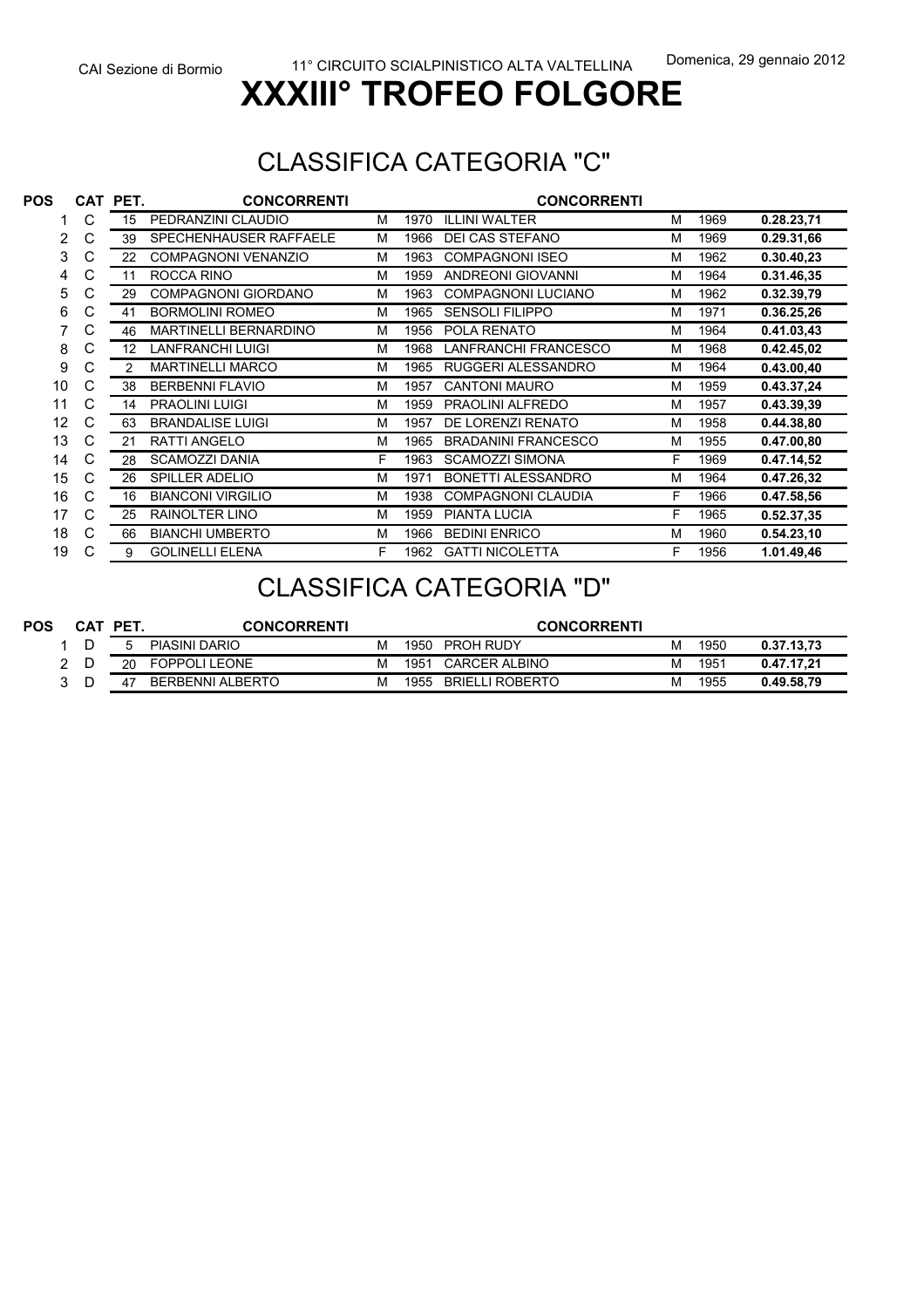#### CLASSIFICA CATEGORIA "C"

| <b>POS</b> | CAT | PET. | <b>CONCORRENTI</b>           |   |      | <b>CONCORRENTI</b>         |   |      |            |
|------------|-----|------|------------------------------|---|------|----------------------------|---|------|------------|
|            | С   | 15   | PEDRANZINI CLAUDIO           | м | 1970 | <b>ILLINI WALTER</b>       | М | 1969 | 0.28.23,71 |
| 2          | С   | 39   | SPECHENHAUSER RAFFAELE       | м | 1966 | <b>DEI CAS STEFANO</b>     | М | 1969 | 0.29.31,66 |
| 3          | С   | 22   | <b>COMPAGNONI VENANZIO</b>   | M | 1963 | <b>COMPAGNONI ISEO</b>     | М | 1962 | 0.30.40,23 |
| 4          | C   | 11   | ROCCA RINO                   | М | 1959 | <b>ANDREONI GIOVANNI</b>   | М | 1964 | 0.31.46,35 |
| 5          | С   | 29   | <b>COMPAGNONI GIORDANO</b>   | M | 1963 | <b>COMPAGNONI LUCIANO</b>  | M | 1962 | 0.32.39,79 |
| 6          | С   | 41   | <b>BORMOLINI ROMEO</b>       | M | 1965 | <b>SENSOLI FILIPPO</b>     | М | 1971 | 0.36.25,26 |
| 7          | С   | 46   | <b>MARTINELLI BERNARDINO</b> | M | 1956 | POLA RENATO                | М | 1964 | 0.41.03,43 |
| 8          | С   | 12   | <b>LANFRANCHI LUIGI</b>      | M | 1968 | LANFRANCHI FRANCESCO       | M | 1968 | 0.42.45,02 |
| 9          | C   | 2    | <b>MARTINELLI MARCO</b>      | M | 1965 | RUGGERI ALESSANDRO         | М | 1964 | 0.43.00,40 |
| 10         | C   | 38   | <b>BERBENNI FLAVIO</b>       | M | 1957 | <b>CANTONI MAURO</b>       | М | 1959 | 0.43.37,24 |
| 11         | C   | 14   | <b>PRAOLINI LUIGI</b>        | M | 1959 | PRAOLINI ALFREDO           | M | 1957 | 0.43.39,39 |
| 12         | C   | 63   | <b>BRANDALISE LUIGI</b>      | м | 1957 | DE LORENZI RENATO          | м | 1958 | 0.44.38,80 |
| 13         | C   | 21   | <b>RATTI ANGELO</b>          | M | 1965 | <b>BRADANINI FRANCESCO</b> | М | 1955 | 0.47.00,80 |
| 14         | С   | 28   | <b>SCAMOZZI DANIA</b>        | F | 1963 | <b>SCAMOZZI SIMONA</b>     | F | 1969 | 0.47.14,52 |
| 15         | С   | 26   | <b>SPILLER ADELIO</b>        | M | 1971 | <b>BONETTI ALESSANDRO</b>  | M | 1964 | 0.47.26,32 |
| 16         | C   | 16   | <b>BIANCONI VIRGILIO</b>     | M | 1938 | <b>COMPAGNONI CLAUDIA</b>  | F | 1966 | 0.47.58,56 |
| 17         | С   | 25   | <b>RAINOLTER LINO</b>        | M | 1959 | <b>PIANTA LUCIA</b>        | F | 1965 | 0.52.37,35 |
| 18         | C   | 66   | <b>BIANCHI UMBERTO</b>       | M | 1966 | <b>BEDINI ENRICO</b>       | М | 1960 | 0.54.23,10 |
| 19         | С   | 9    | <b>GOLINELLI ELENA</b>       | F | 1962 | <b>GATTI NICOLETTA</b>     | F | 1956 | 1.01.49,46 |

#### CLASSIFICA CATEGORIA "D"

| <b>POS</b> |   | CAT | <b>PET</b> | <b>CONCORRENTI</b>   |   |      | <b>CONCORRENTI</b>     |   |      |            |
|------------|---|-----|------------|----------------------|---|------|------------------------|---|------|------------|
|            |   |     |            | <b>PIASINI DARIO</b> | м | 1950 | <b>PROH RUDY</b>       | М | 1950 | 0.37.13.73 |
|            | ົ |     | 20         | <b>FOPPOLI LEONE</b> | м | 1951 | <b>CARCER ALBINO</b>   | м | 1951 | 0.47.17.21 |
|            |   |     |            | BERBENNI ALBERTO     | м | 1955 | <b>BRIELLI ROBERTO</b> | м | 1955 | 0.49.58.79 |